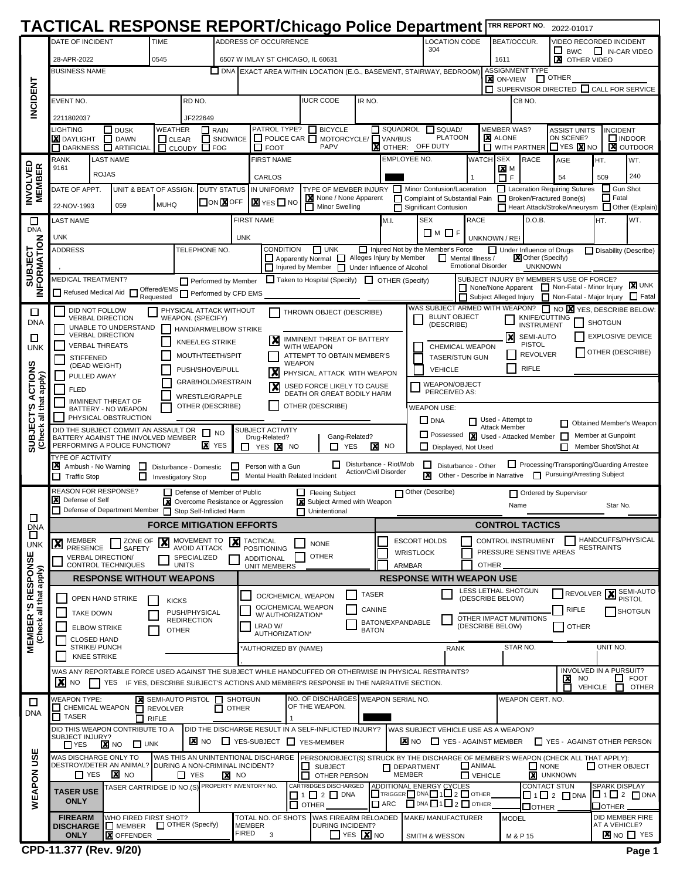|                                              | TACTICAL RESPONSE REPORT/Chicago Police Department TRR REPORT NO.                                                                              |                                                                      |                           |                                                          |                                                                                                         |                                          |                                                                          |                                                                                   |                                     |                                                                                                                              |                                          |                                           |                                                      | 2022-01017                                                                                              |                                  |                              |  |
|----------------------------------------------|------------------------------------------------------------------------------------------------------------------------------------------------|----------------------------------------------------------------------|---------------------------|----------------------------------------------------------|---------------------------------------------------------------------------------------------------------|------------------------------------------|--------------------------------------------------------------------------|-----------------------------------------------------------------------------------|-------------------------------------|------------------------------------------------------------------------------------------------------------------------------|------------------------------------------|-------------------------------------------|------------------------------------------------------|---------------------------------------------------------------------------------------------------------|----------------------------------|------------------------------|--|
|                                              | DATE OF INCIDENT                                                                                                                               |                                                                      | <b>TIME</b>               |                                                          | ADDRESS OF OCCURRENCE                                                                                   |                                          |                                                                          |                                                                                   |                                     |                                                                                                                              | <b>LOCATION CODE</b>                     |                                           | BEAT/OCCUR.                                          | VIDEO RECORDED INCIDENT                                                                                 |                                  |                              |  |
|                                              | 28-APR-2022                                                                                                                                    |                                                                      | 0545                      |                                                          | 6507 W IMLAY ST CHICAGO, IL 60631                                                                       |                                          |                                                                          |                                                                                   |                                     | 304                                                                                                                          |                                          | 1611                                      |                                                      | <b>BWC</b><br><b>X</b> OTHER VIDEO                                                                      | $\Box$ IN-CAR VIDEO              |                              |  |
|                                              | <b>BUSINESS NAME</b>                                                                                                                           |                                                                      |                           |                                                          | □ DNA EXACT AREA WITHIN LOCATION (E.G., BASEMENT, STAIRWAY, BEDROOM)                                    |                                          |                                                                          |                                                                                   |                                     |                                                                                                                              |                                          |                                           | <b>ASSIGNMENT TYPE</b>                               |                                                                                                         |                                  |                              |  |
|                                              |                                                                                                                                                |                                                                      |                           |                                                          |                                                                                                         |                                          |                                                                          |                                                                                   |                                     |                                                                                                                              |                                          | <b>X</b> ON-VIEW                          |                                                      | $\Box$ OTHER<br>$\Box$ SUPERVISOR DIRECTED $\Box$ CALL FOR SERVICE                                      |                                  |                              |  |
| <b>NCIDENT</b>                               | EVENT NO.                                                                                                                                      |                                                                      |                           | RD NO.                                                   |                                                                                                         |                                          | <b>IUCR CODE</b>                                                         | IR NO.                                                                            |                                     |                                                                                                                              |                                          |                                           | CB NO.                                               |                                                                                                         |                                  |                              |  |
|                                              |                                                                                                                                                |                                                                      |                           |                                                          |                                                                                                         |                                          |                                                                          |                                                                                   |                                     |                                                                                                                              |                                          |                                           |                                                      |                                                                                                         |                                  |                              |  |
|                                              | 2211802037<br>LIGHTING                                                                                                                         | $\square$ DUSK                                                       | WEATHER                   | JF222649<br>$\Box$ RAIN                                  | PATROL TYPE?                                                                                            |                                          | $\Box$ BICYCLE                                                           |                                                                                   | $\Box$ SQUADROL                     | $\Box$ SQUAD/                                                                                                                |                                          | <b>MEMBER WAS?</b>                        |                                                      | <b>ASSIST UNITS</b>                                                                                     | <b>INCIDENT</b>                  |                              |  |
|                                              | <b>X</b> DAYLIGHT                                                                                                                              | <b>DAWN</b><br>$\mathbf{L}$                                          | $\Box$ CLEAR              | SNOW/ICE<br>Г                                            |                                                                                                         |                                          | $\Box$ POLICE CAR $\Box$ MOTORCYCLE/ $\Box$ VAN/BUS                      |                                                                                   |                                     | <b>PLATOON</b>                                                                                                               |                                          | <b>X</b> ALONE                            |                                                      | ON SCENE?                                                                                               |                                  | $\Box$ INDOOR                |  |
|                                              | RANK                                                                                                                                           | DARKNESS <b>ARTIFICIAL</b><br><b>LAST NAME</b>                       | $\Box$ CLOUDY             | $\Box$ FOG                                               | $\Box$ FOOT<br><b>FIRST NAME</b>                                                                        |                                          | <b>PAPV</b>                                                              | X                                                                                 | OTHER:<br>EMPLOYEE NO.              | OFF DUTY                                                                                                                     | WATCH                                    | П<br><b>SEX</b>                           | <b>WITH PARTNER</b><br><b>RACE</b>                   | $\Box$ YES $\chi$ NO<br>AGE                                                                             | HT.                              | <b>X</b> OUTDOOR             |  |
|                                              | 9161                                                                                                                                           | <b>ROJAS</b>                                                         |                           |                                                          |                                                                                                         |                                          |                                                                          |                                                                                   |                                     |                                                                                                                              |                                          | $\times$ M                                |                                                      |                                                                                                         |                                  | WT.                          |  |
|                                              |                                                                                                                                                |                                                                      |                           |                                                          | CARLOS                                                                                                  |                                          |                                                                          |                                                                                   |                                     |                                                                                                                              |                                          | $\Box$ F                                  |                                                      | 54                                                                                                      | 509<br>Gun Shot                  | 240                          |  |
| <b>INVOLVED</b><br>MEMBER                    | DATE OF APPT.                                                                                                                                  |                                                                      | UNIT & BEAT OF ASSIGN.    | <b>DUTY STATUS</b><br>ON <b>X</b> OFF                    | IN UNIFORM?<br>$\blacksquare$ YES $\square$ NC                                                          |                                          | TYPE OF MEMBER INJURY Minor Contusion/Laceration<br>None / None Apparent |                                                                                   |                                     | Complaint of Substantial Pain                                                                                                |                                          |                                           |                                                      | Laceration Requiring Sutures<br>Broken/Fractured Bone(s)                                                | $\Box$ Fatal                     |                              |  |
|                                              | 22-NOV-1993                                                                                                                                    | 059                                                                  | MUHQ                      |                                                          |                                                                                                         |                                          | Minor Swelling                                                           |                                                                                   | П                                   | Significant Contusion                                                                                                        |                                          |                                           |                                                      | Heart Attack/Stroke/Aneurysm I Other (Explain)                                                          |                                  |                              |  |
| □<br><b>DNA</b>                              | LAST NAME                                                                                                                                      |                                                                      |                           |                                                          | <b>FIRST NAME</b>                                                                                       |                                          |                                                                          |                                                                                   | M.I.                                | <b>SEX</b>                                                                                                                   | <b>RACE</b>                              |                                           | D.O.B.                                               |                                                                                                         | HT.                              | WT.                          |  |
|                                              | <b>UNK</b>                                                                                                                                     |                                                                      |                           |                                                          | <b>UNK</b>                                                                                              |                                          |                                                                          |                                                                                   |                                     | <b>□</b> M □F                                                                                                                |                                          | UNKNOWN / REI                             |                                                      |                                                                                                         |                                  |                              |  |
|                                              | <b>ADDRESS</b>                                                                                                                                 |                                                                      |                           | TELEPHONE NO.                                            |                                                                                                         | <b>CONDITION</b>                         | $\Box$ UNK<br>$\Box$ Apparently Normal $\Box$ Alleges Injury by Member   |                                                                                   |                                     | $\Box$ Injured Not by the Member's Force<br>П                                                                                | Mental Illness /                         |                                           | Under Influence of Drugs<br><b>X</b> Other (Specify) |                                                                                                         | $\Box$ Disability (Describe)     |                              |  |
| SUBJECT<br>IFORMATION                        |                                                                                                                                                |                                                                      |                           |                                                          |                                                                                                         |                                          | $\Box$ Injured by Member $\Box$ Under Influence of Alcohol               |                                                                                   |                                     |                                                                                                                              | <b>Emotional Disorder</b>                |                                           | <b>UNKNOWN</b>                                       |                                                                                                         |                                  |                              |  |
|                                              | MEDICAL TREATMENT?                                                                                                                             |                                                                      |                           | Performed by Member                                      |                                                                                                         |                                          | $\Box$ Taken to Hospital (Specify) $\Box$ OTHER (Specify)                |                                                                                   |                                     |                                                                                                                              |                                          |                                           |                                                      | SUBJECT INJURY BY MEMBER'S USE OF FORCE?<br>None/None Apparent Non-Fatal - Minor Injury                 |                                  | <b>X</b> UNK                 |  |
| ≧                                            | $\Box$ Refused Medical Aid $\Box$                                                                                                              |                                                                      |                           | Offered/EMS Performed by CFD EMS                         |                                                                                                         |                                          |                                                                          |                                                                                   |                                     |                                                                                                                              |                                          |                                           |                                                      | Subject Alleged Injury   Non-Fatal - Major Injury                                                       |                                  | $\Box$ Fatal                 |  |
| □                                            | DID NOT FOLLOW                                                                                                                                 |                                                                      |                           | PHYSICAL ATTACK WITHOUT                                  |                                                                                                         |                                          | THROWN OBJECT (DESCRIBE)                                                 |                                                                                   |                                     | WAS SUBJECT ARMED WITH WEAPON?                                                                                               | <b>BLUNT OBJECT</b>                      |                                           |                                                      | NO X YES, DESCRIBE BELOW:                                                                               |                                  |                              |  |
| <b>DNA</b>                                   |                                                                                                                                                | <b>VERBAL DIRECTION</b><br>UNABLE TO UNDERSTAND                      |                           | WEAPON. (SPECIFY)<br>HAND/ARM/ELBOW STRIKE               |                                                                                                         |                                          |                                                                          |                                                                                   |                                     | (DESCRIBE)                                                                                                                   |                                          |                                           | KNIFE/CUTTING<br><b>INSTRUMENT</b>                   |                                                                                                         | <b>SHOTGUN</b>                   |                              |  |
| $\Box$                                       |                                                                                                                                                | <b>VERBAL DIRECTION</b><br><b>VERBAL THREATS</b>                     |                           | KNEE/LEG STRIKE                                          |                                                                                                         |                                          | IMMINENT THREAT OF BATTERY                                               |                                                                                   |                                     |                                                                                                                              |                                          | ΙxΙ                                       | SEMI-AUTO<br><b>PISTOL</b>                           |                                                                                                         | <b>EXPLOSIVE DEVICE</b>          |                              |  |
| UNK                                          | <b>STIFFENED</b>                                                                                                                               |                                                                      |                           | MOUTH/TEETH/SPIT                                         |                                                                                                         | <b>WITH WEAPON</b>                       | ATTEMPT TO OBTAIN MEMBER'S                                               |                                                                                   |                                     |                                                                                                                              | CHEMICAL WEAPON<br><b>TASER/STUN GUN</b> |                                           | <b>REVOLVER</b>                                      |                                                                                                         | OTHER (DESCRIBE)                 |                              |  |
| n                                            | (DEAD WEIGHT)                                                                                                                                  |                                                                      |                           | PUSH/SHOVE/PULL                                          | IX                                                                                                      | <b>WEAPON</b>                            | PHYSICAL ATTACK WITH WEAPON                                              |                                                                                   |                                     | <b>VEHICLE</b>                                                                                                               |                                          |                                           | <b>RIFLE</b>                                         |                                                                                                         |                                  |                              |  |
| <b>ACTION</b><br>apply)                      | PULLED AWAY                                                                                                                                    |                                                                      |                           | GRAB/HOLD/RESTRAIN                                       |                                                                                                         |                                          | USED FORCE LIKELY TO CAUSE                                               |                                                                                   |                                     | <b>WEAPON/OBJECT</b>                                                                                                         |                                          |                                           |                                                      |                                                                                                         |                                  |                              |  |
|                                              | <b>FLED</b>                                                                                                                                    |                                                                      |                           | WRESTLE/GRAPPLE                                          |                                                                                                         |                                          | DEATH OR GREAT BODILY HARM                                               |                                                                                   |                                     | PERCEIVED AS:                                                                                                                |                                          |                                           |                                                      |                                                                                                         |                                  |                              |  |
| s)                                           | that<br><b>IMMINENT THREAT OF</b><br>OTHER (DESCRIBE)<br>OTHER (DESCRIBE)<br><b>WEAPON USE:</b><br>BATTERY - NO WEAPON<br>PHYSICAL OBSTRUCTION |                                                                      |                           |                                                          |                                                                                                         |                                          |                                                                          |                                                                                   |                                     |                                                                                                                              |                                          |                                           |                                                      |                                                                                                         |                                  |                              |  |
|                                              |                                                                                                                                                | DID THE SUBJECT COMMIT AN ASSAULT OR                                 |                           |                                                          | <b>SUBJECT ACTIVITY</b>                                                                                 |                                          |                                                                          |                                                                                   |                                     | $\Box$ DNA                                                                                                                   |                                          | Used - Attempt to<br><b>Attack Member</b> |                                                      | П                                                                                                       |                                  | Obtained Member's Weapon     |  |
| <b>SUBJECT</b><br>Check all 1                |                                                                                                                                                | BATTERY AGAINST THE INVOLVED MEMBER<br>PERFORMING A POLICE FUNCTION? |                           | п<br><b>NO</b><br><b>X</b> YES                           | Drug-Related?                                                                                           |                                          | Gang-Related?<br>П.                                                      | x                                                                                 | <b>NO</b>                           | Possessed <b>X</b> Used - Attacked Member<br>П<br>Member at Gunpoint<br>ш<br>Displayed, Not Used<br>Member Shot/Shot At<br>П |                                          |                                           |                                                      |                                                                                                         |                                  |                              |  |
|                                              | <b>TYPE OF ACTIVITY</b>                                                                                                                        |                                                                      |                           |                                                          | YES <b>X</b> NO<br>П                                                                                    |                                          | <b>YES</b>                                                               |                                                                                   |                                     |                                                                                                                              |                                          |                                           |                                                      |                                                                                                         |                                  |                              |  |
|                                              | X Ambush - No Warning                                                                                                                          | ப                                                                    |                           | Disturbance - Domestic                                   | Person with a Gun<br>□<br>Mental Health Related Incident                                                |                                          | $\Box$                                                                   | <b>Action/Civil Disorder</b>                                                      | Disturbance - Riot/Mob              | □<br>X                                                                                                                       | Disturbance - Other                      |                                           |                                                      | Processing/Transporting/Guarding Arrestee<br>Other - Describe in Narrative   Pursuing/Arresting Subject |                                  |                              |  |
|                                              | $\Box$ Traffic Stop<br>REASON FOR RESPONSE?                                                                                                    | ப                                                                    | <b>Investigatory Stop</b> |                                                          |                                                                                                         |                                          |                                                                          |                                                                                   |                                     |                                                                                                                              |                                          |                                           |                                                      |                                                                                                         |                                  |                              |  |
|                                              | X Defense of Self                                                                                                                              |                                                                      |                           | Defense of Member of Public                              | <b>X</b> Overcome Resistance or Aggression                                                              |                                          | Fleeing Subject<br>Subject Armed with Weapon                             |                                                                                   |                                     | Other (Describe)                                                                                                             |                                          |                                           | Name                                                 | Ordered by Supervisor                                                                                   | Star No.                         |                              |  |
|                                              |                                                                                                                                                |                                                                      |                           | Defense of Department Member Stop Self-Inflicted Harm    |                                                                                                         |                                          | $\Box$ Unintentional                                                     |                                                                                   |                                     |                                                                                                                              |                                          |                                           |                                                      |                                                                                                         |                                  |                              |  |
| <b>DNA</b><br>□                              |                                                                                                                                                |                                                                      |                           | <b>FORCE MITIGATION EFFORTS</b>                          |                                                                                                         |                                          |                                                                          |                                                                                   |                                     |                                                                                                                              |                                          |                                           | <b>CONTROL TACTICS</b>                               |                                                                                                         |                                  |                              |  |
| <b>UNK</b>                                   | <b>MEMBER</b><br>$\boldsymbol{\mathsf{X}}$<br>PRESENCE                                                                                         | ZONE OF<br>SAFETY                                                    | $\boldsymbol{\mathsf{X}}$ | MOVEMENT TO<br>⊠<br><b>AVOID ATTACK</b>                  | <b>TACTICAL</b><br><b>NONE</b><br><b>POSITIONING</b>                                                    |                                          |                                                                          |                                                                                   |                                     | HANDCUFFS/PHYSICAL<br><b>ESCORT HOLDS</b><br><b>CONTROL INSTRUMENT</b><br><b>RESTRAINTS</b><br>PRESSURE SENSITIVE AREAS      |                                          |                                           |                                                      |                                                                                                         |                                  |                              |  |
|                                              |                                                                                                                                                | <b>VERBAL DIRECTION/</b><br><b>CONTROL TECHNIQUES</b>                |                           | SPECIALIZED                                              | <b>ADDITIONAL</b>                                                                                       |                                          | <b>OTHER</b>                                                             |                                                                                   | <b>WRISTLOCK</b><br>ARMBAR<br>OTHER |                                                                                                                              |                                          |                                           |                                                      |                                                                                                         |                                  |                              |  |
|                                              |                                                                                                                                                | <b>RESPONSE WITHOUT WEAPONS</b>                                      | <b>UNITS</b>              |                                                          | <b>UNIT MEMBERS</b>                                                                                     |                                          |                                                                          |                                                                                   |                                     |                                                                                                                              |                                          |                                           |                                                      |                                                                                                         |                                  |                              |  |
|                                              |                                                                                                                                                |                                                                      |                           |                                                          |                                                                                                         |                                          |                                                                          | <b>RESPONSE WITH WEAPON USE</b><br>LESS LETHAL SHOTGUN<br>SEMI-AUTO<br>REVOLVER X |                                     |                                                                                                                              |                                          |                                           |                                                      |                                                                                                         |                                  |                              |  |
|                                              |                                                                                                                                                | OPEN HAND STRIKE                                                     | <b>KICKS</b>              |                                                          |                                                                                                         | OC/CHEMICAL WEAPON<br>OC/CHEMICAL WEAPON |                                                                          | <b>TASER</b>                                                                      |                                     |                                                                                                                              |                                          | (DESCRIBE BELOW)                          |                                                      |                                                                                                         |                                  | <b>PISTOL</b>                |  |
|                                              | <b>TAKE DOWN</b>                                                                                                                               |                                                                      |                           | PUSH/PHYSICAL<br><b>REDIRECTION</b>                      |                                                                                                         | W/ AUTHORIZATION*                        |                                                                          | CANINE                                                                            | BATON/EXPANDABLE                    |                                                                                                                              |                                          |                                           | OTHER IMPACT MUNITIONS                               | <b>RIFLE</b>                                                                                            |                                  | <b>SHOTGUN</b>               |  |
|                                              | <b>ELBOW STRIKE</b>                                                                                                                            |                                                                      | <b>OTHER</b>              |                                                          | LRAD W/<br>(DESCRIBE BELOW)<br>OTHER<br><b>BATON</b><br>AUTHORIZATION*                                  |                                          |                                                                          |                                                                                   |                                     |                                                                                                                              |                                          |                                           |                                                      |                                                                                                         |                                  |                              |  |
| MEMBER 'S RESPONSE<br>(Check all that apply) | <b>CLOSED HAND</b><br>STRIKE/ PUNCH                                                                                                            |                                                                      |                           |                                                          | AUTHORIZED BY (NAME)                                                                                    |                                          |                                                                          |                                                                                   | <b>RANK</b>                         |                                                                                                                              | STAR NO.                                 |                                           | UNIT NO.                                             |                                                                                                         |                                  |                              |  |
|                                              | <b>KNEE STRIKE</b>                                                                                                                             |                                                                      |                           |                                                          |                                                                                                         |                                          |                                                                          |                                                                                   |                                     |                                                                                                                              |                                          |                                           |                                                      |                                                                                                         |                                  |                              |  |
|                                              |                                                                                                                                                |                                                                      |                           |                                                          | WAS ANY REPORTABLE FORCE USED AGAINST THE SUBJECT WHILE HANDCUFFED OR OTHERWISE IN PHYSICAL RESTRAINTS? |                                          |                                                                          |                                                                                   |                                     |                                                                                                                              |                                          |                                           |                                                      | INVOLVED IN A PURSUIT?<br>⊠<br><b>NO</b>                                                                |                                  | $\Box$ FOOT                  |  |
|                                              | X NO                                                                                                                                           | <b>YES</b>                                                           |                           |                                                          | IF YES, DESCRIBE SUBJECT'S ACTIONS AND MEMBER'S RESPONSE IN THE NARRATIVE SECTION.                      |                                          |                                                                          |                                                                                   |                                     |                                                                                                                              |                                          |                                           |                                                      | <b>VEHICLE</b>                                                                                          | П                                | <b>OTHER</b>                 |  |
| □                                            | <b>WEAPON TYPE:</b><br>CHEMICAL WEAPON                                                                                                         | $\Box$                                                               | <b>REVOLVER</b>           | SEMI-AUTO PISTOL SHOTGUN<br>$\Box$ OTHER                 |                                                                                                         |                                          | NO. OF DISCHARGES WEAPON SERIAL NO.<br>OF THE WEAPON.                    |                                                                                   |                                     |                                                                                                                              |                                          |                                           | WEAPON CERT. NO.                                     |                                                                                                         |                                  |                              |  |
| <b>DNA</b>                                   | п<br><b>TASER</b>                                                                                                                              | п                                                                    | <b>RIFLE</b>              |                                                          |                                                                                                         |                                          |                                                                          |                                                                                   |                                     |                                                                                                                              |                                          |                                           |                                                      |                                                                                                         |                                  |                              |  |
|                                              | SUBJECT INJURY?                                                                                                                                | DID THIS WEAPON CONTRIBUTE TO A                                      |                           |                                                          | DID THE DISCHARGE RESULT IN A SELF-INFLICTED INJURY?                                                    |                                          |                                                                          |                                                                                   |                                     | WAS SUBJECT VEHICLE USE AS A WEAPON?                                                                                         |                                          |                                           |                                                      |                                                                                                         |                                  |                              |  |
| ш                                            | $\Box$ YES                                                                                                                                     | <b>X</b> NO                                                          | $\Box$ UNK                | <b>X</b> NO                                              | YES-SUBJECT YES-MEMBER                                                                                  |                                          |                                                                          |                                                                                   | X NO                                |                                                                                                                              | YES - AGAINST MEMBER                     |                                           |                                                      | T YES - AGAINST OTHER PERSON                                                                            |                                  |                              |  |
| ğ                                            | WAS DISCHARGE ONLY TO                                                                                                                          |                                                                      |                           | DESTROY/DETER AN ANIMAL? DURING A NON-CRIMINAL INCIDENT? | WAS THIS AN UNINTENTIONAL DISCHARGE                                                                     |                                          | $\Box$ SUBJECT                                                           |                                                                                   | <b>N</b> DEPARTMENT                 |                                                                                                                              | ANIMAL                                   |                                           | $\Box$ NONE                                          | PERSON/OBJECT(S) STRUCK BY THE DISCHARGE OF MEMBER'S WEAPON (CHECK ALL THAT APPLY):                     | OTHER OBJECT                     |                              |  |
|                                              | $\Box$ YES                                                                                                                                     | <b>X</b> NO                                                          |                           | $\Box$ YES                                               | <b>X</b> NO                                                                                             | □                                        | OTHER PERSON                                                             |                                                                                   | <b>MEMBER</b>                       |                                                                                                                              | $\Box$ VEHICLE                           |                                           |                                                      | <b>X</b> UNKNOWN                                                                                        |                                  |                              |  |
| WEAPON                                       | <b>TASER USE</b>                                                                                                                               |                                                                      | TASER CARTRIDGE ID NO.(S) |                                                          | PROPERTY INVENTORY NO.                                                                                  |                                          | CARTRIDGES DISCHARGED<br>$\Box$ 1 $\Box$ 2 $\Box$ DNA                    |                                                                                   |                                     | ADDITIONAL ENERGY CYCLES<br>TRIGGER $\Box$ DNA $\Box$ 1 $\Box$ 2 $\Box$ OTHER                                                |                                          |                                           |                                                      | <b>CONTACT STUN</b><br>$\Box$ 1 $\Box$ 2 $\Box$ DNA                                                     | <b>SPARK DISPLAY</b>             | $\Box$ 1 $\Box$ 2 $\Box$ DNA |  |
|                                              | <b>ONLY</b>                                                                                                                                    |                                                                      |                           |                                                          |                                                                                                         | $\square$ other                          |                                                                          |                                                                                   | $\Box$ ARC                          | $\Box$ DNA $\Box$ 1 $\Box$ 2 $\Box$ OTHER                                                                                    |                                          |                                           | $\Box$ OTHER                                         |                                                                                                         | $\Box$ OTHER                     |                              |  |
|                                              | <b>FIREARM</b>                                                                                                                                 | DISCHARGE   MEMBER                                                   | WHO FIRED FIRST SHOT?     | OTHER (Specify)                                          | TOTAL NO. OF SHOTS WAS FIREARM RELOADED<br>MEMBER                                                       |                                          | <b>DURING INCIDENT?</b>                                                  |                                                                                   |                                     | MAKE/ MANUFACTURER                                                                                                           |                                          | <b>MODEL</b>                              |                                                      |                                                                                                         | DID MEMBER FIRE<br>AT A VEHICLE? |                              |  |
|                                              | <b>ONLY</b>                                                                                                                                    | <b>X</b> OFFENDER                                                    |                           |                                                          | <b>FIRED</b><br>3                                                                                       |                                          |                                                                          | $\Box$ YES $\bm{X}$ NO                                                            |                                     | SMITH & WESSON                                                                                                               |                                          |                                           | M & P 15                                             |                                                                                                         |                                  | $\mathbf{X}$ NO $\Box$ Yes   |  |
|                                              | CPD-11.377 (Rev. 9/20)                                                                                                                         |                                                                      |                           |                                                          |                                                                                                         |                                          |                                                                          |                                                                                   |                                     |                                                                                                                              |                                          |                                           |                                                      |                                                                                                         |                                  | Page 1                       |  |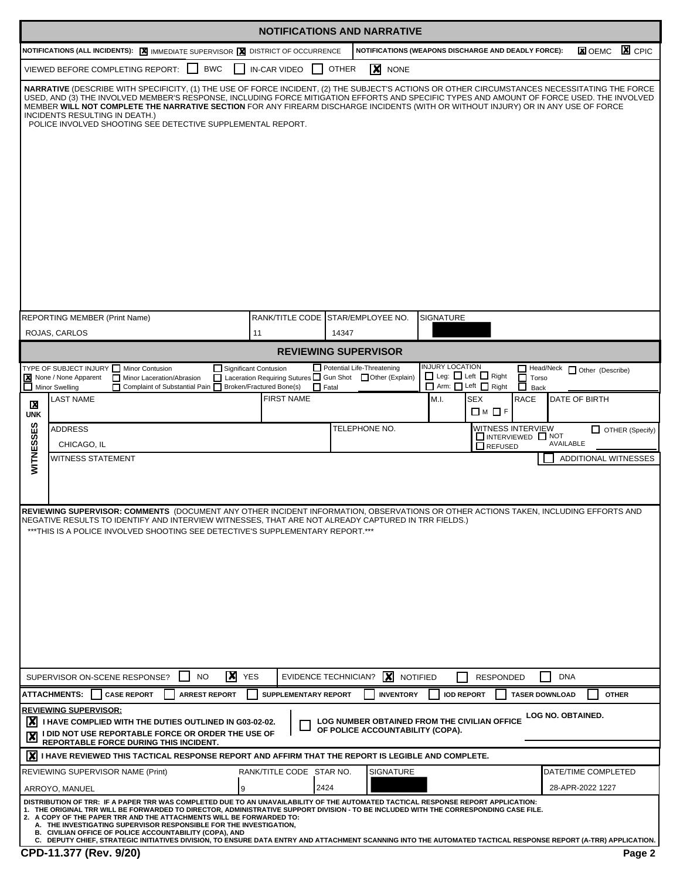|                               |                                                                                                                                                                                                                                                                                                                                                                                                                                                                                                                                                                                                                                                                                 |                               | <b>NOTIFICATIONS AND NARRATIVE</b>                                                        |                                                                                |                                         |
|-------------------------------|---------------------------------------------------------------------------------------------------------------------------------------------------------------------------------------------------------------------------------------------------------------------------------------------------------------------------------------------------------------------------------------------------------------------------------------------------------------------------------------------------------------------------------------------------------------------------------------------------------------------------------------------------------------------------------|-------------------------------|-------------------------------------------------------------------------------------------|--------------------------------------------------------------------------------|-----------------------------------------|
|                               | NOTIFICATIONS (ALL INCIDENTS): X IMMEDIATE SUPERVISOR X DISTRICT OF OCCURRENCE                                                                                                                                                                                                                                                                                                                                                                                                                                                                                                                                                                                                  |                               |                                                                                           | NOTIFICATIONS (WEAPONS DISCHARGE AND DEADLY FORCE):                            | $\mathbf{X}$ CPIC<br><b>X</b> OEMC      |
|                               | <b>BWC</b><br>VIEWED BEFORE COMPLETING REPORT:                                                                                                                                                                                                                                                                                                                                                                                                                                                                                                                                                                                                                                  | IN-CAR VIDEO                  | <b>OTHER</b><br>$\vert x \vert$<br><b>NONE</b>                                            |                                                                                |                                         |
|                               | NARRATIVE (DESCRIBE WITH SPECIFICITY, (1) THE USE OF FORCE INCIDENT, (2) THE SUBJECT'S ACTIONS OR OTHER CIRCUMSTANCES NECESSITATING THE FORCE<br>USED, AND (3) THE INVOLVED MEMBER'S RESPONSE, INCLUDING FORCE MITIGATION EFFORTS AND SPECIFIC TYPES AND AMOUNT OF FORCE USED. THE INVOLVED<br>MEMBER WILL NOT COMPLETE THE NARRATIVE SECTION FOR ANY FIREARM DISCHARGE INCIDENTS (WITH OR WITHOUT INJURY) OR IN ANY USE OF FORCE<br>INCIDENTS RESULTING IN DEATH.)<br>POLICE INVOLVED SHOOTING SEE DETECTIVE SUPPLEMENTAL REPORT.                                                                                                                                              |                               |                                                                                           |                                                                                |                                         |
|                               | <b>REPORTING MEMBER (Print Name)</b>                                                                                                                                                                                                                                                                                                                                                                                                                                                                                                                                                                                                                                            |                               | RANK/TITLE CODE STAR/EMPLOYEE NO.                                                         | <b>SIGNATURE</b>                                                               |                                         |
|                               | ROJAS, CARLOS                                                                                                                                                                                                                                                                                                                                                                                                                                                                                                                                                                                                                                                                   | 11                            | 14347                                                                                     |                                                                                |                                         |
|                               |                                                                                                                                                                                                                                                                                                                                                                                                                                                                                                                                                                                                                                                                                 |                               | <b>REVIEWING SUPERVISOR</b>                                                               |                                                                                |                                         |
|                               | TYPE OF SUBJECT INJURY Minor Contusion<br>X None / None Apparent<br>Minor Laceration/Abrasion<br>П                                                                                                                                                                                                                                                                                                                                                                                                                                                                                                                                                                              | Significant Contusion         | Potential Life-Threatening<br>□ Laceration Requiring Sutures □ Gun Shot □ Other (Explain) | <b>INJURY LOCATION</b><br>$\Box$ Leg: $\Box$ Left $\Box$ Right<br>$\Box$ Torso | Head/Neck Other (Describe)              |
|                               | Complaint of Substantial Pain Broken/Fractured Bone(s)<br>Minor Swelling                                                                                                                                                                                                                                                                                                                                                                                                                                                                                                                                                                                                        |                               | $\Box$ Fatal                                                                              | ō<br>Arm: Left Right<br>Back                                                   |                                         |
| X<br><b>UNK</b>               | <b>LAST NAME</b>                                                                                                                                                                                                                                                                                                                                                                                                                                                                                                                                                                                                                                                                | <b>FIRST NAME</b>             |                                                                                           | M.I.<br><b>SEX</b><br><b>RACE</b><br><b>□</b> M □ F                            | <b>DATE OF BIRTH</b>                    |
|                               | <b>ADDRESS</b>                                                                                                                                                                                                                                                                                                                                                                                                                                                                                                                                                                                                                                                                  |                               | TELEPHONE NO.                                                                             | WITNESS INTERVIEW                                                              | $\Box$ OTHER (Specify)                  |
| WITNESSES                     | CHICAGO, IL                                                                                                                                                                                                                                                                                                                                                                                                                                                                                                                                                                                                                                                                     |                               |                                                                                           | $\Box$ INTERVIEWED $\Box$ NOT<br>REFUSED                                       | AVAILABLE                               |
|                               | <b>WITNESS STATEMENT</b>                                                                                                                                                                                                                                                                                                                                                                                                                                                                                                                                                                                                                                                        |                               |                                                                                           |                                                                                | ADDITIONAL WITNESSES                    |
|                               |                                                                                                                                                                                                                                                                                                                                                                                                                                                                                                                                                                                                                                                                                 |                               |                                                                                           |                                                                                |                                         |
|                               | REVIEWING SUPERVISOR: COMMENTS (DOCUMENT ANY OTHER INCIDENT INFORMATION, OBSERVATIONS OR OTHER ACTIONS TAKEN, INCLUDING EFFORTS AND<br>NEGATIVE RESULTS TO IDENTIFY AND INTERVIEW WITNESSES, THAT ARE NOT ALREADY CAPTURED IN TRR FIELDS.)<br>***THIS IS A POLICE INVOLVED SHOOTING SEE DETECTIVE'S SUPPLEMENTARY REPORT.***                                                                                                                                                                                                                                                                                                                                                    |                               |                                                                                           |                                                                                |                                         |
|                               | X<br><b>NO</b><br>SUPERVISOR ON-SCENE RESPONSE?                                                                                                                                                                                                                                                                                                                                                                                                                                                                                                                                                                                                                                 | <b>YES</b>                    | X<br><b>EVIDENCE TECHNICIAN?</b>                                                          | <b>RESPONDED</b><br><b>NOTIFIED</b>                                            | <b>DNA</b>                              |
|                               | <b>ATTACHMENTS:</b><br><b>CASE REPORT</b><br><b>ARREST REPORT</b>                                                                                                                                                                                                                                                                                                                                                                                                                                                                                                                                                                                                               | <b>SUPPLEMENTARY REPORT</b>   | <b>INVENTORY</b>                                                                          | <b>IOD REPORT</b><br><b>TASER DOWNLOAD</b>                                     | <b>OTHER</b>                            |
| IХ<br>$\overline{\mathbf{x}}$ | <b>REVIEWING SUPERVISOR:</b><br>I HAVE COMPLIED WITH THE DUTIES OUTLINED IN G03-02-02.<br>I DID NOT USE REPORTABLE FORCE OR ORDER THE USE OF<br>REPORTABLE FORCE DURING THIS INCIDENT.                                                                                                                                                                                                                                                                                                                                                                                                                                                                                          |                               | OF POLICE ACCOUNTABILITY (COPA).                                                          | LOG NUMBER OBTAINED FROM THE CIVILIAN OFFICE                                   | LOG NO. OBTAINED.                       |
| Ix١                           | I HAVE REVIEWED THIS TACTICAL RESPONSE REPORT AND AFFIRM THAT THE REPORT IS LEGIBLE AND COMPLETE.                                                                                                                                                                                                                                                                                                                                                                                                                                                                                                                                                                               |                               |                                                                                           |                                                                                |                                         |
|                               | REVIEWING SUPERVISOR NAME (Print)<br>ARROYO, MANUEL                                                                                                                                                                                                                                                                                                                                                                                                                                                                                                                                                                                                                             | RANK/TITLE CODE STAR NO.<br>9 | <b>SIGNATURE</b><br>2424                                                                  |                                                                                | DATE/TIME COMPLETED<br>28-APR-2022 1227 |
|                               | DISTRIBUTION OF TRR: IF A PAPER TRR WAS COMPLETED DUE TO AN UNAVAILABILITY OF THE AUTOMATED TACTICAL RESPONSE REPORT APPLICATION:<br>1. THE ORIGINAL TRR WILL BE FORWARDED TO DIRECTOR, ADMINISTRATIVE SUPPORT DIVISION - TO BE INCLUDED WITH THE CORRESPONDING CASE FILE.<br>2. A COPY OF THE PAPER TRR AND THE ATTACHMENTS WILL BE FORWARDED TO:<br>A. THE INVESTIGATING SUPERVISOR RESPONSIBLE FOR THE INVESTIGATION,<br>B. CIVILIAN OFFICE OF POLICE ACCOUNTABILITY (COPA), AND<br>C. DEPUTY CHIEF, STRATEGIC INITIATIVES DIVISION, TO ENSURE DATA ENTRY AND ATTACHMENT SCANNING INTO THE AUTOMATED TACTICAL RESPONSE REPORT (A-TRR) APPLICATION.<br>CPD-11.377 (Rev. 9/20) |                               |                                                                                           |                                                                                |                                         |
|                               |                                                                                                                                                                                                                                                                                                                                                                                                                                                                                                                                                                                                                                                                                 |                               |                                                                                           |                                                                                | Page 2                                  |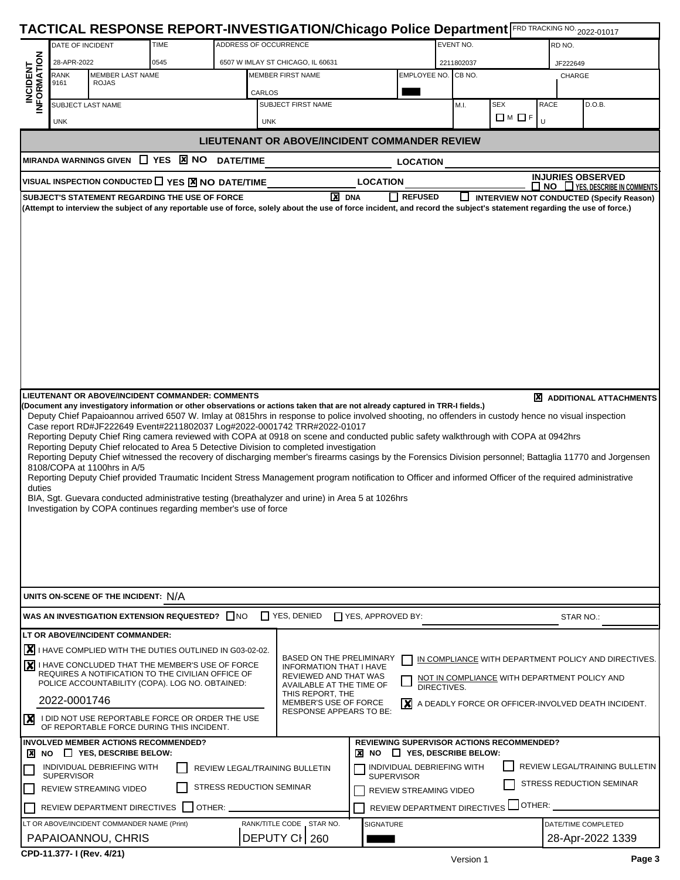|                                 |                                                 |                                         |                                                                                                      |                                                                 |                                                                                                  | TACTICAL RESPONSE REPORT-INVESTIGATION/Chicago Police Department FRD TRACKING NO. 2022-01017                                        |                             |                 |                                                                                                                                                                                                                              |
|---------------------------------|-------------------------------------------------|-----------------------------------------|------------------------------------------------------------------------------------------------------|-----------------------------------------------------------------|--------------------------------------------------------------------------------------------------|-------------------------------------------------------------------------------------------------------------------------------------|-----------------------------|-----------------|------------------------------------------------------------------------------------------------------------------------------------------------------------------------------------------------------------------------------|
|                                 | DATE OF INCIDENT                                |                                         | TIME                                                                                                 | ADDRESS OF OCCURRENCE                                           |                                                                                                  |                                                                                                                                     | EVENT NO.                   |                 | RD NO.                                                                                                                                                                                                                       |
| <b>INCIDENT<br/>INFORMATION</b> | 28-APR-2022                                     |                                         | 0545                                                                                                 |                                                                 | 6507 W IMLAY ST CHICAGO, IL 60631                                                                |                                                                                                                                     | 2211802037                  |                 | JF222649                                                                                                                                                                                                                     |
|                                 | <b>RANK</b><br>9161                             | <b>MEMBER LAST NAME</b><br><b>ROJAS</b> |                                                                                                      |                                                                 | <b>MEMBER FIRST NAME</b>                                                                         |                                                                                                                                     | EMPLOYEE NO. CB NO.         |                 | CHARGE                                                                                                                                                                                                                       |
|                                 | SUBJECT LAST NAME                               |                                         |                                                                                                      | CARLOS                                                          | SUBJECT FIRST NAME                                                                               |                                                                                                                                     | M.I.                        | <b>SEX</b>      | RACE<br>D.O.B.                                                                                                                                                                                                               |
|                                 | <b>UNK</b>                                      |                                         |                                                                                                      | UNK                                                             |                                                                                                  |                                                                                                                                     |                             | $\Box M \Box F$ | Ü                                                                                                                                                                                                                            |
|                                 |                                                 |                                         |                                                                                                      |                                                                 |                                                                                                  | <b>LIEUTENANT OR ABOVE/INCIDENT COMMANDER REVIEW</b>                                                                                |                             |                 |                                                                                                                                                                                                                              |
|                                 | <b>MIRANDA WARNINGS GIVEN</b>                   |                                         | $\Box$ YES $\boxtimes$ NO                                                                            |                                                                 |                                                                                                  |                                                                                                                                     |                             |                 |                                                                                                                                                                                                                              |
|                                 |                                                 |                                         |                                                                                                      | <b>DATE/TIME</b>                                                |                                                                                                  | <b>LOCATION</b>                                                                                                                     |                             |                 | <b>INJURIES OBSERVED</b>                                                                                                                                                                                                     |
|                                 |                                                 |                                         | VISUAL INSPECTION CONDUCTED TES X NO DATE/TIME                                                       |                                                                 |                                                                                                  | <b>LOCATION</b>                                                                                                                     |                             |                 | $\Box$ NO $\Box$ YES, DESCRIBE IN COMMENTS                                                                                                                                                                                   |
|                                 |                                                 |                                         | SUBJECT'S STATEMENT REGARDING THE USE OF FORCE                                                       |                                                                 | <b>X</b> DNA                                                                                     | <b>REFUSED</b><br>ΙI                                                                                                                | ப                           |                 | <b>INTERVIEW NOT CONDUCTED (Specify Reason)</b><br>(Attempt to interview the subject of any reportable use of force, solely about the use of force incident, and record the subject's statement regarding the use of force.) |
|                                 |                                                 |                                         |                                                                                                      |                                                                 |                                                                                                  |                                                                                                                                     |                             |                 |                                                                                                                                                                                                                              |
|                                 |                                                 |                                         |                                                                                                      |                                                                 |                                                                                                  |                                                                                                                                     |                             |                 |                                                                                                                                                                                                                              |
|                                 |                                                 |                                         |                                                                                                      |                                                                 |                                                                                                  |                                                                                                                                     |                             |                 |                                                                                                                                                                                                                              |
|                                 |                                                 |                                         |                                                                                                      |                                                                 |                                                                                                  |                                                                                                                                     |                             |                 |                                                                                                                                                                                                                              |
|                                 |                                                 |                                         |                                                                                                      |                                                                 |                                                                                                  |                                                                                                                                     |                             |                 |                                                                                                                                                                                                                              |
|                                 |                                                 |                                         |                                                                                                      |                                                                 |                                                                                                  |                                                                                                                                     |                             |                 |                                                                                                                                                                                                                              |
|                                 |                                                 |                                         |                                                                                                      |                                                                 |                                                                                                  |                                                                                                                                     |                             |                 |                                                                                                                                                                                                                              |
|                                 |                                                 |                                         |                                                                                                      |                                                                 |                                                                                                  |                                                                                                                                     |                             |                 |                                                                                                                                                                                                                              |
|                                 |                                                 |                                         |                                                                                                      |                                                                 |                                                                                                  |                                                                                                                                     |                             |                 |                                                                                                                                                                                                                              |
|                                 |                                                 |                                         |                                                                                                      |                                                                 |                                                                                                  |                                                                                                                                     |                             |                 |                                                                                                                                                                                                                              |
|                                 |                                                 |                                         |                                                                                                      |                                                                 |                                                                                                  |                                                                                                                                     |                             |                 |                                                                                                                                                                                                                              |
|                                 |                                                 |                                         |                                                                                                      |                                                                 |                                                                                                  |                                                                                                                                     |                             |                 |                                                                                                                                                                                                                              |
|                                 |                                                 |                                         | LIEUTENANT OR ABOVE/INCIDENT COMMANDER: COMMENTS                                                     |                                                                 |                                                                                                  |                                                                                                                                     |                             |                 | <b>X</b> ADDITIONAL ATTACHMENTS                                                                                                                                                                                              |
|                                 |                                                 |                                         |                                                                                                      |                                                                 |                                                                                                  | (Document any investigatory information or other observations or actions taken that are not already captured in TRR-I fields.)      |                             |                 | Deputy Chief Papaioannou arrived 6507 W. Imlay at 0815hrs in response to police involved shooting, no offenders in custody hence no visual inspection                                                                        |
|                                 |                                                 |                                         |                                                                                                      |                                                                 | Case report RD#JF222649 Event#2211802037 Log#2022-0001742 TRR#2022-01017                         |                                                                                                                                     |                             |                 |                                                                                                                                                                                                                              |
|                                 |                                                 |                                         |                                                                                                      |                                                                 | Reporting Deputy Chief relocated to Area 5 Detective Division to completed investigation         | Reporting Deputy Chief Ring camera reviewed with COPA at 0918 on scene and conducted public safety walkthrough with COPA at 0942hrs |                             |                 |                                                                                                                                                                                                                              |
|                                 |                                                 |                                         |                                                                                                      |                                                                 |                                                                                                  |                                                                                                                                     |                             |                 | Reporting Deputy Chief witnessed the recovery of discharging member's firearms casings by the Forensics Division personnel; Battaglia 11770 and Jorgensen                                                                    |
|                                 | 8108/COPA at 1100hrs in A/5                     |                                         |                                                                                                      |                                                                 |                                                                                                  |                                                                                                                                     |                             |                 | Reporting Deputy Chief provided Traumatic Incident Stress Management program notification to Officer and informed Officer of the required administrative                                                                     |
| duties                          |                                                 |                                         |                                                                                                      |                                                                 |                                                                                                  |                                                                                                                                     |                             |                 |                                                                                                                                                                                                                              |
|                                 |                                                 |                                         |                                                                                                      |                                                                 | BIA, Sgt. Guevara conducted administrative testing (breathalyzer and urine) in Area 5 at 1026hrs |                                                                                                                                     |                             |                 |                                                                                                                                                                                                                              |
|                                 |                                                 |                                         |                                                                                                      | Investigation by COPA continues regarding member's use of force |                                                                                                  |                                                                                                                                     |                             |                 |                                                                                                                                                                                                                              |
|                                 |                                                 |                                         |                                                                                                      |                                                                 |                                                                                                  |                                                                                                                                     |                             |                 |                                                                                                                                                                                                                              |
|                                 |                                                 |                                         |                                                                                                      |                                                                 |                                                                                                  |                                                                                                                                     |                             |                 |                                                                                                                                                                                                                              |
|                                 |                                                 |                                         |                                                                                                      |                                                                 |                                                                                                  |                                                                                                                                     |                             |                 |                                                                                                                                                                                                                              |
|                                 |                                                 |                                         |                                                                                                      |                                                                 |                                                                                                  |                                                                                                                                     |                             |                 |                                                                                                                                                                                                                              |
|                                 | UNITS ON-SCENE OF THE INCIDENT: N/A             |                                         |                                                                                                      |                                                                 |                                                                                                  |                                                                                                                                     |                             |                 |                                                                                                                                                                                                                              |
|                                 |                                                 |                                         | WAS AN INVESTIGATION EXTENSION REQUESTED? ONO                                                        |                                                                 | T YES, DENIED                                                                                    | YES, APPROVED BY:                                                                                                                   |                             |                 | STAR NO.:                                                                                                                                                                                                                    |
|                                 | LT OR ABOVE/INCIDENT COMMANDER:                 |                                         |                                                                                                      |                                                                 |                                                                                                  |                                                                                                                                     |                             |                 |                                                                                                                                                                                                                              |
|                                 |                                                 |                                         | X I HAVE COMPLIED WITH THE DUTIES OUTLINED IN G03-02-02.                                             |                                                                 |                                                                                                  |                                                                                                                                     |                             |                 |                                                                                                                                                                                                                              |
|                                 |                                                 |                                         | I HAVE CONCLUDED THAT THE MEMBER'S USE OF FORCE                                                      |                                                                 | <b>BASED ON THE PRELIMINARY</b><br><b>INFORMATION THAT I HAVE</b>                                |                                                                                                                                     |                             |                 | IN COMPLIANCE WITH DEPARTMENT POLICY AND DIRECTIVES.                                                                                                                                                                         |
|                                 |                                                 |                                         | REQUIRES A NOTIFICATION TO THE CIVILIAN OFFICE OF<br>POLICE ACCOUNTABILITY (COPA). LOG NO. OBTAINED: |                                                                 | REVIEWED AND THAT WAS                                                                            |                                                                                                                                     |                             |                 | NOT IN COMPLIANCE WITH DEPARTMENT POLICY AND                                                                                                                                                                                 |
|                                 |                                                 |                                         |                                                                                                      |                                                                 | AVAILABLE AT THE TIME OF<br>THIS REPORT, THE                                                     |                                                                                                                                     | DIRECTIVES.                 |                 |                                                                                                                                                                                                                              |
|                                 | 2022-0001746                                    |                                         |                                                                                                      |                                                                 | <b>MEMBER'S USE OF FORCE</b><br>RESPONSE APPEARS TO BE:                                          |                                                                                                                                     |                             |                 | $ \mathbf{x} $ A DEADLY FORCE OR OFFICER-INVOLVED DEATH INCIDENT.                                                                                                                                                            |
| $\boldsymbol{\mathsf{x}}$       |                                                 |                                         | I DID NOT USE REPORTABLE FORCE OR ORDER THE USE<br>OF REPORTABLE FORCE DURING THIS INCIDENT.         |                                                                 |                                                                                                  |                                                                                                                                     |                             |                 |                                                                                                                                                                                                                              |
|                                 |                                                 |                                         | INVOLVED MEMBER ACTIONS RECOMMENDED?                                                                 |                                                                 |                                                                                                  | <b>REVIEWING SUPERVISOR ACTIONS RECOMMENDED?</b>                                                                                    |                             |                 |                                                                                                                                                                                                                              |
| <b>X</b> NO                     |                                                 | $\Box$ YES, DESCRIBE BELOW:             |                                                                                                      |                                                                 |                                                                                                  | ×<br><b>NO</b>                                                                                                                      | $\Box$ YES, DESCRIBE BELOW: |                 |                                                                                                                                                                                                                              |
|                                 | INDIVIDUAL DEBRIEFING WITH<br><b>SUPERVISOR</b> |                                         |                                                                                                      | REVIEW LEGAL/TRAINING BULLETIN                                  |                                                                                                  | INDIVIDUAL DEBRIEFING WITH<br><b>SUPERVISOR</b>                                                                                     |                             |                 | REVIEW LEGAL/TRAINING BULLETIN                                                                                                                                                                                               |
|                                 | REVIEW STREAMING VIDEO                          |                                         |                                                                                                      | <b>STRESS REDUCTION SEMINAR</b>                                 |                                                                                                  | REVIEW STREAMING VIDEO                                                                                                              |                             |                 | STRESS REDUCTION SEMINAR                                                                                                                                                                                                     |
|                                 | REVIEW DEPARTMENT DIRECTIVES                    |                                         |                                                                                                      | OTHER:                                                          |                                                                                                  | REVIEW DEPARTMENT DIRECTIVES                                                                                                        |                             | OTHER:          |                                                                                                                                                                                                                              |
|                                 | LT OR ABOVE/INCIDENT COMMANDER NAME (Print)     |                                         |                                                                                                      |                                                                 | RANK/TITLE CODE _ STAR NO.                                                                       | <b>SIGNATURE</b>                                                                                                                    |                             |                 | DATE/TIME COMPLETED                                                                                                                                                                                                          |
|                                 | PAPAIOANNOU, CHRIS                              |                                         |                                                                                                      |                                                                 | DEPUTY CI 260                                                                                    |                                                                                                                                     |                             |                 | 28-Apr-2022 1339                                                                                                                                                                                                             |
|                                 | CDD-11 277-1/Dov 4/21)                          |                                         |                                                                                                      |                                                                 |                                                                                                  |                                                                                                                                     |                             |                 |                                                                                                                                                                                                                              |